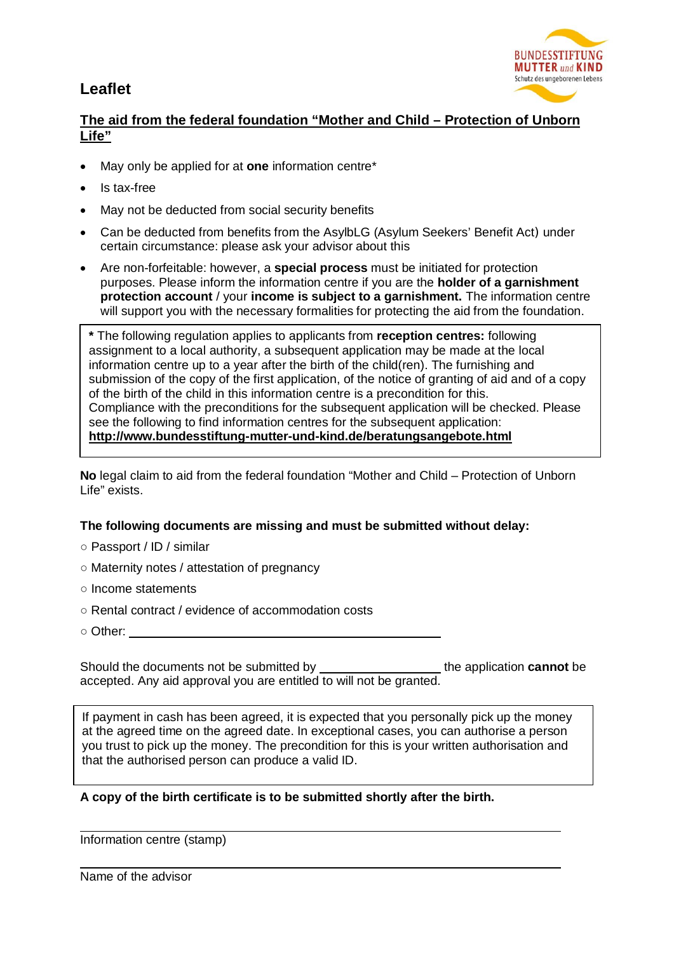## **Leaflet**



## **The aid from the federal foundation "Mother and Child – Protection of Unborn Life"**

- May only be applied for at **one** information centre\*
- Is tax-free
- May not be deducted from social security benefits
- x Can be deducted from benefits from the AsylbLG (Asylum Seekers' Benefit Act) under certain circumstance: please ask your advisor about this
- Are non-forfeitable: however, a **special process** must be initiated for protection purposes. Please inform the information centre if you are the **holder of a garnishment protection account** / your **income is subject to a garnishment.** The information centre will support you with the necessary formalities for protecting the aid from the foundation.

**\*** The following regulation applies to applicants from **reception centres:** following assignment to a local authority, a subsequent application may be made at the local information centre up to a year after the birth of the child(ren). The furnishing and submission of the copy of the first application, of the notice of granting of aid and of a copy of the birth of the child in this information centre is a precondition for this. Compliance with the preconditions for the subsequent application will be checked. Please see the following to find information centres for the subsequent application: **http://www.bundesstiftung-mutter-und-kind.de/beratungsangebote.html** 

**No** legal claim to aid from the federal foundation "Mother and Child – Protection of Unborn Life" exists.

## **The following documents are missing and must be submitted without delay:**

- **ż** Passport / ID / similar
- **ż** Maternity notes / attestation of pregnancy
- **ż** Income statements
- **ż** Rental contract / evidence of accommodation costs
- **ż** Other:

Should the documents not be submitted by **the application cannot** be accepted. Any aid approval you are entitled to will not be granted.

If payment in cash has been agreed, it is expected that you personally pick up the money at the agreed time on the agreed date. In exceptional cases, you can authorise a person you trust to pick up the money. The precondition for this is your written authorisation and that the authorised person can produce a valid ID.

## **A copy of the birth certificate is to be submitted shortly after the birth.**

Information centre (stamp)

Name of the advisor